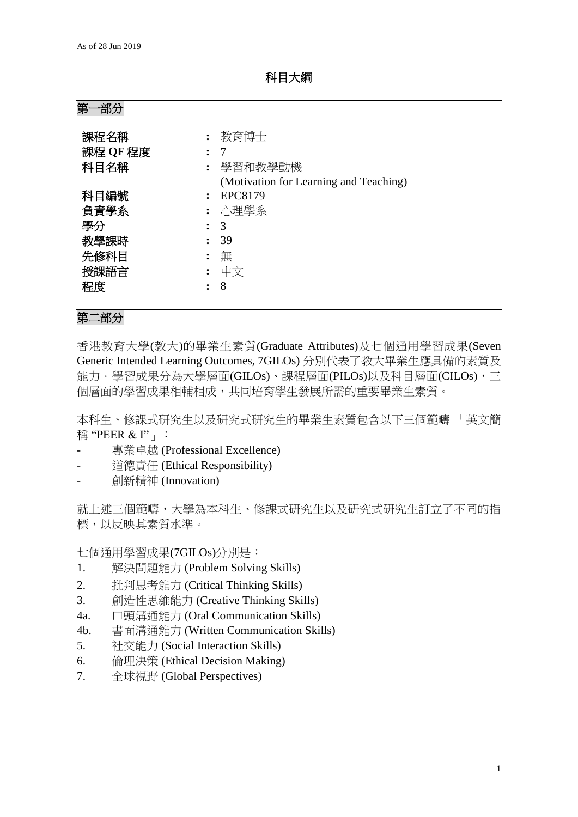科目大綱

| 第 | ·部分 |
|---|-----|
|   |     |

| 課程名稱     | 教育博士                                   |
|----------|----------------------------------------|
| 課程 QF 程度 | 7                                      |
| 科目名稱     | 學習和教學動機                                |
|          | (Motivation for Learning and Teaching) |
| 科目編號     | <b>EPC8179</b>                         |
| 負責學系     | : 心理學系                                 |
| 學分       | 3                                      |
| 教學課時     | 39                                     |
| 先修科目     | 無                                      |
| 授課語言     | 中文                                     |
| 程度       | 8                                      |

## 第二部分

香港教育大學(教大)的畢業生素質(Graduate Attributes)及七個通用學習成果(Seven Generic Intended Learning Outcomes, 7GILOs) 分別代表了教大畢業生應具備的素質及 能力。學習成果分為大學層面(GILOs)、課程層面(PILOs)以及科目層面(CILOs),三 個層面的學習成果相輔相成,共同培育學生發展所需的重要畢業生素質。

本科生、修課式研究生以及研究式研究生的畢業生素質包含以下三個範疇 「英文簡 稱 "PEER & I"」:

- 專業卓越 (Professional Excellence)
- 道德責任 (Ethical Responsibility)
- 創新精神 (Innovation)

就上述三個範疇,大學為本科生、修課式研究生以及研究式研究生訂立了不同的指 標,以反映其素質水準。

七個通用學習成果(7GILOs)分別是:

- 1. 解決問題能力 (Problem Solving Skills)
- 2. 批判思考能力 (Critical Thinking Skills)
- 3. 創造性思維能力 (Creative Thinking Skills)
- 4a. 口頭溝通能力 (Oral Communication Skills)
- 4b. 書面溝通能力 (Written Communication Skills)
- 5. 社交能力 (Social Interaction Skills)
- 6. 倫理決策 (Ethical Decision Making)
- 7. 全球視野 (Global Perspectives)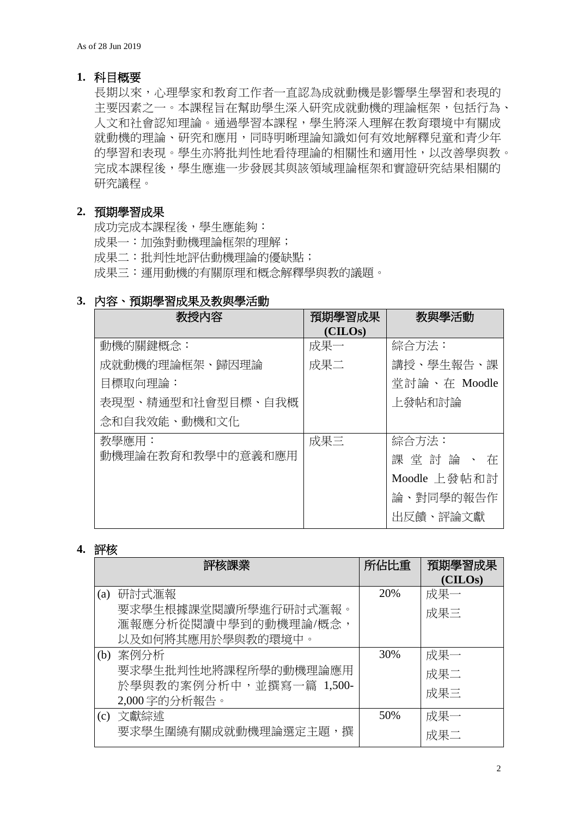### **1.** 科目概要

長期以來,心理學家和教育工作者一直認為成就動機是影響學生學習和表現的 主要因素之一。本課程旨在幫助學生深入研究成就動機的理論框架,包括行為、 人文和社會認知理論。通過學習本課程,學生將深入理解在教育環境中有關成 就動機的理論、研究和應用,同時明晰理論知識如何有效地解釋兒童和青少年 的學習和表現。學生亦將批判性地看待理論的相關性和適用性,以改善學與教。 完成本課程後,學生應進一步發展其與該領域理論框架和實證研究結果相關的 研究議程。

# **2.** 預期學習成果

成功完成本課程後,學生應能夠: 成果一:加強對動機理論框架的理解; 成果二:批判性地評估動機理論的優缺點; 成果三:運用動機的有關原理和概念解釋學與教的議題。

## **3.** 內容、預期學習成果及教與學活動

| 教授內容              | 預期學習成果  | 教與學活動        |
|-------------------|---------|--------------|
|                   | (CHLOS) |              |
| 動機的關鍵概念:          | 成果一     | 綜合方法:        |
| 成就動機的理論框架、歸因理論    | 成果二     | 講授、學生報告、課    |
| 目標取向理論:           |         | 堂討論、在 Moodle |
| 表現型、精通型和社會型目標、自我概 |         | 上發帖和討論       |
| 念和自我效能、動機和文化      |         |              |
| 教學應用:             | 成果三     | 綜合方法:        |
| 動機理論在教育和教學中的意義和應用 |         | 課堂討論、在       |
|                   |         | Moodle 上發帖和討 |
|                   |         | 論、對同學的報告作    |
|                   |         | 出反饋、評論文獻     |

#### **4.** 評核

| 評核課業 |                         | 所佔比重 | 預期學習成果  |
|------|-------------------------|------|---------|
|      |                         |      | (CILOs) |
| (a)  | 研討式滙報                   | 20%  | 成果一     |
|      | 要求學生根據課堂閱讀所學進行研討式滙報。    |      | 成果三     |
|      | 滙報應分析從閱讀中學到的動機理論/概念,    |      |         |
|      | 以及如何將其應用於學與教的環境中。       |      |         |
| (b)  | 案例分析                    | 30%  | 成果一     |
|      | 要求學生批判性地將課程所學的動機理論應用    |      | 成果二     |
|      | 於學與教的案例分析中,並撰寫一篇 1,500- |      |         |
|      | 2,000 字的分析報告。           |      | 成果三     |
| (c)  | 文獻綜述                    | 50%  | 成果一     |
|      | 要求學生圍繞有關成就動機理論選定主題,撰    |      | 成果二     |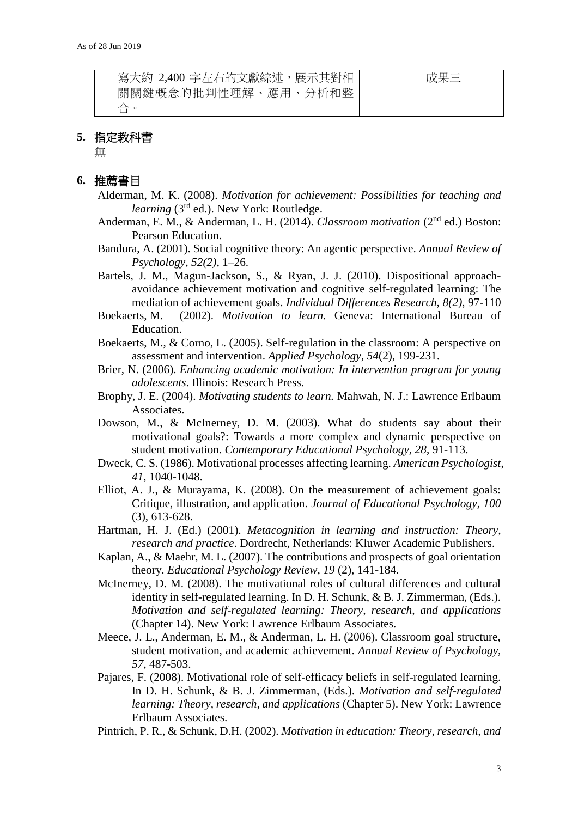| 寫大約 2,400 字左右的文獻綜述,展示其對相 | 成単二 |
|--------------------------|-----|
| 關關鍵概念的批判性理解、應用、分析和整      |     |
| 合。                       |     |

### **5.** 指定教科書

無

# **6.** 推薦書目

- Alderman, M. K. (2008). *Motivation for achievement: Possibilities for teaching and learning* (3rd ed.). New York: Routledge.
- Anderman, E. M., & Anderman, L. H. (2014). *Classroom motivation* (2<sup>nd</sup> ed.) Boston: Pearson Education.
- Bandura, A. (2001). Social cognitive theory: An agentic perspective. *Annual Review of Psychology, 52(2)*, 1–26.
- Bartels, J. M., Magun-Jackson, S., & Ryan, J. J. (2010). Dispositional approachavoidance achievement motivation and cognitive self-regulated learning: The mediation of achievement goals. *Individual Differences Research, 8(2)*, 97-110
- Boekaerts, M. (2002). *Motivation to learn.* Geneva: International Bureau of Education.
- Boekaerts, M., & Corno, L. (2005). Self-regulation in the classroom: A perspective on assessment and intervention. *Applied Psychology, 54*(2), 199-231.
- Brier, N. (2006). *Enhancing academic motivation: In intervention program for young adolescents*. Illinois: Research Press.
- Brophy, J. E. (2004). *Motivating students to learn.* Mahwah, N. J.: Lawrence Erlbaum Associates.
- Dowson, M., & McInerney, D. M. (2003). What do students say about their motivational goals?: Towards a more complex and dynamic perspective on student motivation. *Contemporary Educational Psychology*, *28*, 91-113.
- Dweck, C. S. (1986). Motivational processes affecting learning. *American Psychologist*, *41*, 1040-1048.
- Elliot, A. J., & Murayama, K. (2008). On the measurement of achievement goals: Critique, illustration, and application. *Journal of Educational Psychology, 100* (3), 613-628.
- Hartman, H. J. (Ed.) (2001). *Metacognition in learning and instruction: Theory, research and practice*. Dordrecht, Netherlands: Kluwer Academic Publishers.
- Kaplan, A., & Maehr, M. L. (2007). The contributions and prospects of goal orientation theory. *Educational Psychology Review, 19* (2), 141-184.
- McInerney, D. M. (2008). The motivational roles of cultural differences and cultural identity in self-regulated learning. In D. H. Schunk, & B. J. Zimmerman, (Eds.). *Motivation and self-regulated learning: Theory, research, and applications*  (Chapter 14). New York: Lawrence Erlbaum Associates.
- Meece, J. L., Anderman, E. M., & Anderman, L. H. (2006). Classroom goal structure, student motivation, and academic achievement. *Annual Review of Psychology, 57*, 487-503.
- Pajares, F. (2008). Motivational role of self-efficacy beliefs in self-regulated learning. In D. H. Schunk, & B. J. Zimmerman, (Eds.). *Motivation and self-regulated learning: Theory, research, and applications* (Chapter 5). New York: Lawrence Erlbaum Associates.
- Pintrich, P. R., & Schunk, D.H. (2002). *Motivation in education: Theory, research, and*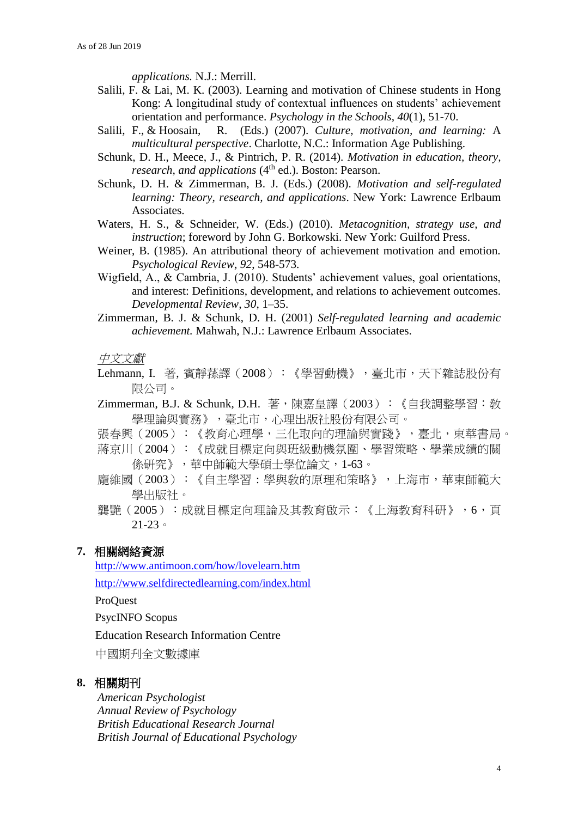*applications.* N.J.: Merrill.

- Salili, F. & Lai, M. K. (2003). Learning and motivation of Chinese students in Hong Kong: A longitudinal study of contextual influences on students' achievement orientation and performance. *Psychology in the Schools, 40*(1), 51-70.
- Salili, F., & Hoosain, R. (Eds.) (2007). *Culture, motivation, and learning:* A *multicultural perspective*. Charlotte, N.C.: Information Age Publishing.
- Schunk, D. H., Meece, J., & Pintrich, P. R. (2014). *Motivation in education, theory, research, and applications* (4<sup>th</sup> ed.). Boston: Pearson.
- Schunk, D. H. & Zimmerman, B. J. (Eds.) (2008). *Motivation and self-regulated learning: Theory, research, and applications*. New York: Lawrence Erlbaum Associates.
- Waters, H. S., & Schneider, W. (Eds.) (2010). *Metacognition, strategy use, and instruction*; foreword by John G. Borkowski. New York: Guilford Press.
- Weiner, B. (1985). An attributional theory of achievement motivation and emotion. *Psychological Review*, *92*, 548-573.
- Wigfield, A., & Cambria, J. (2010). Students' achievement values, goal orientations, and interest: Definitions, development, and relations to achievement outcomes. *Developmental Review, 30*, 1–35.
- Zimmerman, B. J. & Schunk, D. H. (2001) *Self-regulated learning and academic achievement.* Mahwah, N.J.: Lawrence Erlbaum Associates.

中文文獻

Lehmann, I. 著, 賓靜蓀譯(2008): 《學習動機》, 臺北市, 天下雜誌股份有 限公司。

Zimmerman, B.J. & Schunk, D.H. 著,陳嘉皇譯(2003):《自我調整學習:敎 學理論與實務》,臺北市,心理出版社股份有限公司。

張春興(2005):《教育心理學,三化取向的理論與實踐》,臺北,東華書局。 蔣京川(2004):《成就目標定向與班級動機氛圍、學習策略、學業成績的關 係研究》,華中師範大學碩士學位論文,1-63。

- 龐維國(2003):《自主學習 : 學與敎的原理和策略》,上海市,華東師範大 學出版社。
- 龔艷(2005):成就目標定向理論及其教育啟示:《上海教育科研》,6,頁 21-23。

## **7.** 相關網絡資源

<http://www.antimoon.com/how/lovelearn.htm>

<http://www.selfdirectedlearning.com/index.html>

ProQuest

PsycINFO Scopus

Education Research Information Centre

中國期刋全文數據庫

#### **8.** 相關期刊

*American Psychologist Annual Review of Psychology British Educational Research Journal British Journal of Educational Psychology*